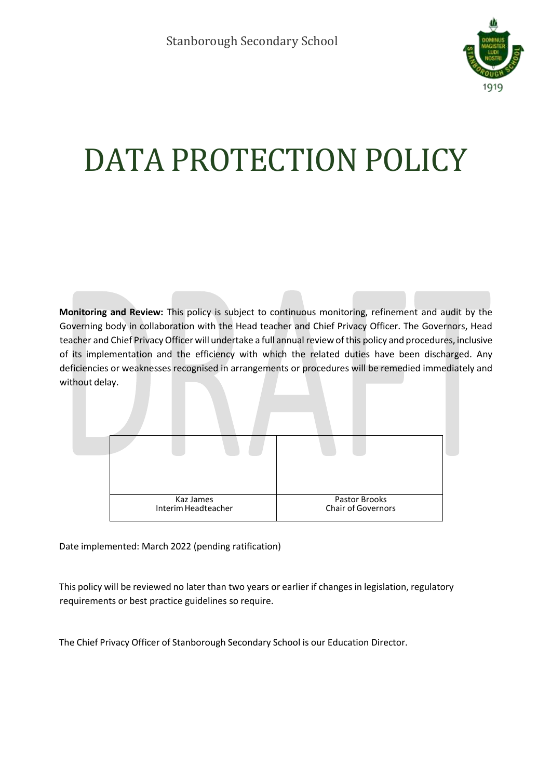

# DATA PROTECTION POLICY

**Monitoring and Review:** This policy is subject to continuous monitoring, refinement and audit by the Governing body in collaboration with the Head teacher and Chief Privacy Officer. The Governors, Head teacher and Chief Privacy Officer will undertake a full annual review of this policy and procedures, inclusive of its implementation and the efficiency with which the related duties have been discharged. Any deficiencies or weaknesses recognised in arrangements or procedures will be remedied immediately and without delay.



Date implemented: March 2022 (pending ratification)

This policy will be reviewed no later than two years or earlier if changes in legislation, regulatory requirements or best practice guidelines so require.

The Chief Privacy Officer of Stanborough Secondary School is our Education Director.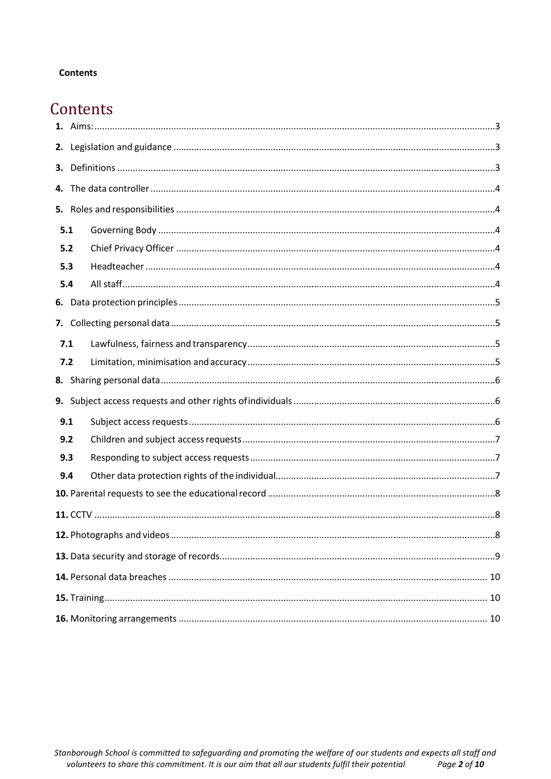#### **Contents**

## Contents

| 3.  |  |  |  |  |  |
|-----|--|--|--|--|--|
|     |  |  |  |  |  |
|     |  |  |  |  |  |
| 5.1 |  |  |  |  |  |
| 5.2 |  |  |  |  |  |
| 5.3 |  |  |  |  |  |
| 5.4 |  |  |  |  |  |
|     |  |  |  |  |  |
|     |  |  |  |  |  |
| 7.1 |  |  |  |  |  |
| 7.2 |  |  |  |  |  |
|     |  |  |  |  |  |
|     |  |  |  |  |  |
| 9.1 |  |  |  |  |  |
| 9.2 |  |  |  |  |  |
| 9.3 |  |  |  |  |  |
| 9.4 |  |  |  |  |  |
|     |  |  |  |  |  |
|     |  |  |  |  |  |
|     |  |  |  |  |  |
|     |  |  |  |  |  |
|     |  |  |  |  |  |
|     |  |  |  |  |  |
|     |  |  |  |  |  |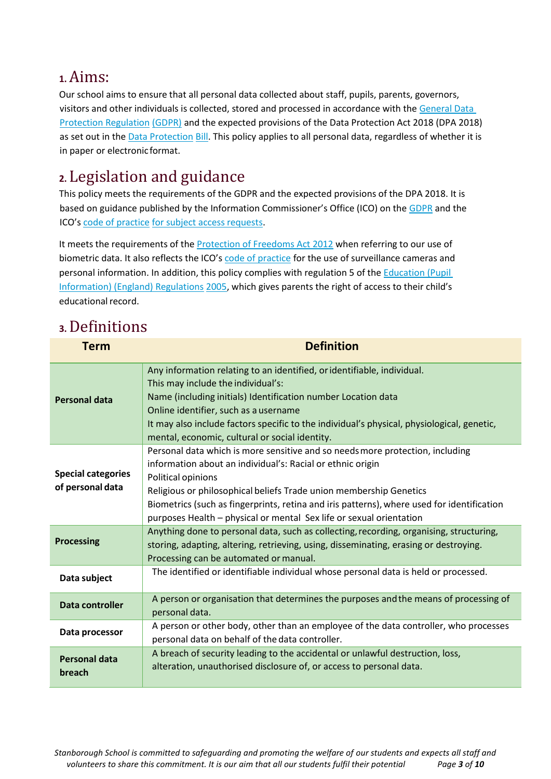## <span id="page-2-0"></span>**1.**Aims:

Our school aims to ensure that all personal data collected about staff, pupils, parents, governors, visitors and other individuals is collected, stored and processed in accordance with th[e General Data](http://data.consilium.europa.eu/doc/document/ST-5419-2016-INIT/en/pdf)  [Protection Regulation](http://data.consilium.europa.eu/doc/document/ST-5419-2016-INIT/en/pdf) [\(GDPR\)](http://data.consilium.europa.eu/doc/document/ST-5419-2016-INIT/en/pdf) and the expected provisions of the Data Protection Act 2018 (DPA 2018) as set out in th[e Data Protection](https://publications.parliament.uk/pa/bills/cbill/2017-2019/0153/18153.pdf) [Bill. T](https://publications.parliament.uk/pa/bills/cbill/2017-2019/0153/18153.pdf)his policy applies to all personal data, regardless of whether it is in paper or electronicformat.

## <span id="page-2-1"></span>**2.** Legislation and guidance

This policy meets the requirements of the GDPR and the expected provisions of the DPA 2018. It is based on guidance published by the Information Commissioner's Office (ICO) on the [GDPR](https://ico.org.uk/for-organisations/guide-to-the-general-data-protection-regulation-gdpr/) and the ICO'[s code of practice](https://ico.org.uk/media/for-organisations/documents/2014223/subject-access-code-of-practice.pdf) [for subject access](https://ico.org.uk/media/for-organisations/documents/2014223/subject-access-code-of-practice.pdf) request[s.](https://ico.org.uk/media/for-organisations/documents/2014223/subject-access-code-of-practice.pdf)

It meets the requirements of the [Protection of Freedoms Act 2012](https://www.legislation.gov.uk/ukpga/2012/9/part/1/chapter/2) when referring to our use of biometric data. It also reflects the ICO's [code of practice](https://ico.org.uk/media/for-organisations/documents/1542/cctv-code-of-practice.pdf) for the use of surveillance cameras and personal information. In addition, this policy complies with regulation 5 of th[e Education \(Pupil](http://www.legislation.gov.uk/uksi/2005/1437/regulation/5/made)  [Information\) \(England\) Regulations](http://www.legislation.gov.uk/uksi/2005/1437/regulation/5/made) [2005,](http://www.legislation.gov.uk/uksi/2005/1437/regulation/5/made) which gives parents the right of access to their child's educational record.

## <span id="page-2-2"></span>**3.**Definitions

| <b>Term</b>                                   | <b>Definition</b>                                                                                                                                                                                                                                                                                                                                                                                            |
|-----------------------------------------------|--------------------------------------------------------------------------------------------------------------------------------------------------------------------------------------------------------------------------------------------------------------------------------------------------------------------------------------------------------------------------------------------------------------|
| <b>Personal data</b>                          | Any information relating to an identified, or identifiable, individual.<br>This may include the individual's:<br>Name (including initials) Identification number Location data<br>Online identifier, such as a username<br>It may also include factors specific to the individual's physical, physiological, genetic,<br>mental, economic, cultural or social identity.                                      |
| <b>Special categories</b><br>of personal data | Personal data which is more sensitive and so needs more protection, including<br>information about an individual's: Racial or ethnic origin<br>Political opinions<br>Religious or philosophical beliefs Trade union membership Genetics<br>Biometrics (such as fingerprints, retina and iris patterns), where used for identification<br>purposes Health - physical or mental Sex life or sexual orientation |
| <b>Processing</b>                             | Anything done to personal data, such as collecting, recording, organising, structuring,<br>storing, adapting, altering, retrieving, using, disseminating, erasing or destroying.<br>Processing can be automated or manual.                                                                                                                                                                                   |
| Data subject                                  | The identified or identifiable individual whose personal data is held or processed.                                                                                                                                                                                                                                                                                                                          |
| Data controller                               | A person or organisation that determines the purposes and the means of processing of<br>personal data.                                                                                                                                                                                                                                                                                                       |
| Data processor                                | A person or other body, other than an employee of the data controller, who processes<br>personal data on behalf of the data controller.                                                                                                                                                                                                                                                                      |
| <b>Personal data</b><br>breach                | A breach of security leading to the accidental or unlawful destruction, loss,<br>alteration, unauthorised disclosure of, or access to personal data.                                                                                                                                                                                                                                                         |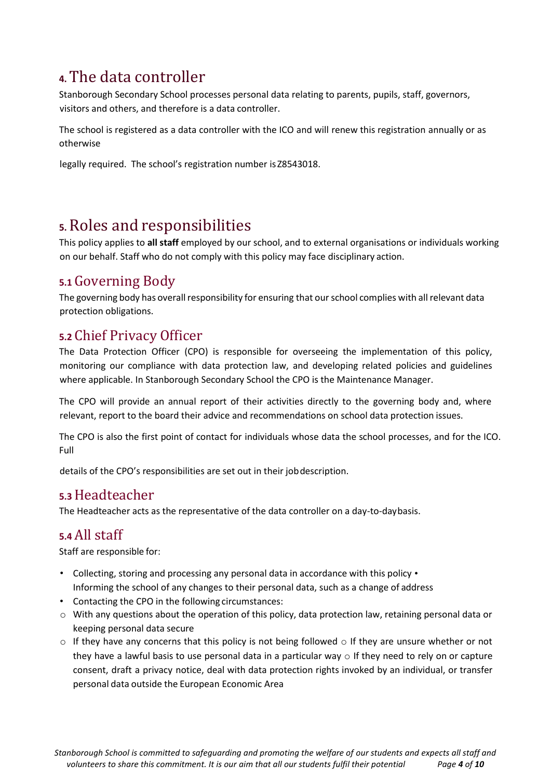## <span id="page-3-0"></span>**4.**The data controller

Stanborough Secondary School processes personal data relating to parents, pupils, staff, governors, visitors and others, and therefore is a data controller.

The school is registered as a data controller with the ICO and will renew this registration annually or as otherwise

legally required. The school's registration number is Z8543018.

## <span id="page-3-1"></span>**5.**Roles and responsibilities

This policy applies to **all staff** employed by our school, and to external organisations or individuals working on our behalf. Staff who do not comply with this policy may face disciplinary action.

#### <span id="page-3-2"></span>**5.1** Governing Body

The governing body has overall responsibility for ensuring that our school complies with all relevant data protection obligations.

#### <span id="page-3-3"></span>**5.2** Chief Privacy Officer

The Data Protection Officer (CPO) is responsible for overseeing the implementation of this policy, monitoring our compliance with data protection law, and developing related policies and guidelines where applicable. In Stanborough Secondary School the CPO is the Maintenance Manager.

The CPO will provide an annual report of their activities directly to the governing body and, where relevant, report to the board their advice and recommendations on school data protection issues.

The CPO is also the first point of contact for individuals whose data the school processes, and for the ICO. Full

details of the CPO's responsibilities are set out in their jobdescription.

### <span id="page-3-4"></span>**5.3**Headteacher

The Headteacher acts as the representative of the data controller on a day-to-daybasis.

#### <span id="page-3-5"></span>**5.4** All staff

Staff are responsible for:

- Collecting, storing and processing any personal data in accordance with this policy Informing the school of any changes to their personal data, such as a change of address
- Contacting the CPO in the following circumstances:
- o With any questions about the operation of this policy, data protection law, retaining personal data or keeping personal data secure
- $\circ$  If they have any concerns that this policy is not being followed  $\circ$  If they are unsure whether or not they have a lawful basis to use personal data in a particular way  $\circ$  If they need to rely on or capture consent, draft a privacy notice, deal with data protection rights invoked by an individual, or transfer personal data outside the European Economic Area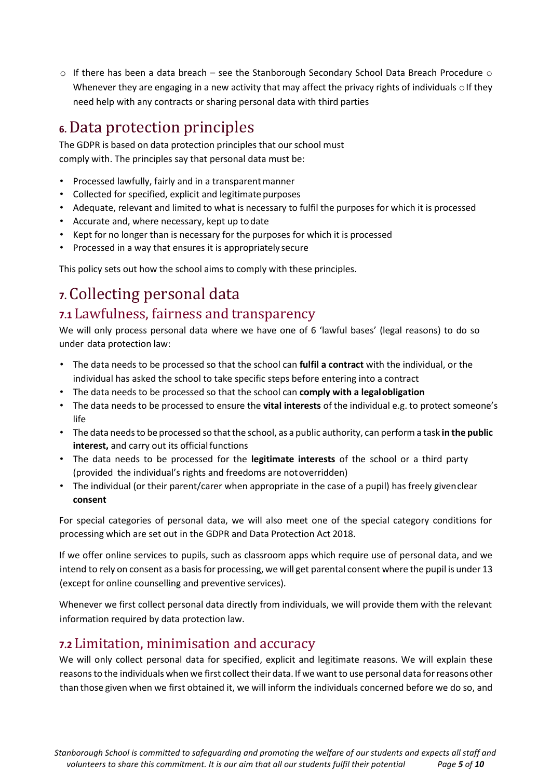$\circ$  If there has been a data breach – see the Stanborough Secondary School Data Breach Procedure  $\circ$ Whenever they are engaging in a new activity that may affect the privacy rights of individuals  $\circ$  If they need help with any contracts or sharing personal data with third parties

## <span id="page-4-0"></span>**6.**Data protection principles

The GDPR is based on data protection principles that our school must comply with. The principles say that personal data must be:

- Processed lawfully, fairly and in a transparentmanner
- Collected for specified, explicit and legitimate purposes
- Adequate, relevant and limited to what is necessary to fulfil the purposes for which it is processed
- Accurate and, where necessary, kept up todate
- Kept for no longer than is necessary for the purposes for which it is processed
- Processed in a way that ensures it is appropriately secure

This policy sets out how the school aims to comply with these principles.

# <span id="page-4-1"></span>**7.** Collecting personal data

#### <span id="page-4-2"></span>**7.1** Lawfulness, fairness and transparency

We will only process personal data where we have one of 6 'lawful bases' (legal reasons) to do so under data protection law:

- The data needs to be processed so that the school can **fulfil a contract** with the individual, or the individual has asked the school to take specific steps before entering into a contract
- The data needs to be processed so that the school can **comply with a legalobligation**
- The data needs to be processed to ensure the **vital interests** of the individual e.g. to protect someone's life
- The data needsto be processed so thatthe school, as a public authority, can perform a task **in the public** interest, and carry out its official functions
- The data needs to be processed for the **legitimate interests** of the school or a third party (provided the individual's rights and freedoms are notoverridden)
- The individual (or their parent/carer when appropriate in the case of a pupil) has freely givenclear **consent**

For special categories of personal data, we will also meet one of the special category conditions for processing which are set out in the GDPR and Data Protection Act 2018.

If we offer online services to pupils, such as classroom apps which require use of personal data, and we intend to rely on consent as a basis for processing, we will get parental consent where the pupil is under 13 (except for online counselling and preventive services).

Whenever we first collect personal data directly from individuals, we will provide them with the relevant information required by data protection law.

#### <span id="page-4-3"></span>**7.2** Limitation, minimisation and accuracy

We will only collect personal data for specified, explicit and legitimate reasons. We will explain these reasons to the individuals when we first collect their data. If we want to use personal data for reasons other than those given when we first obtained it, we will inform the individuals concerned before we do so, and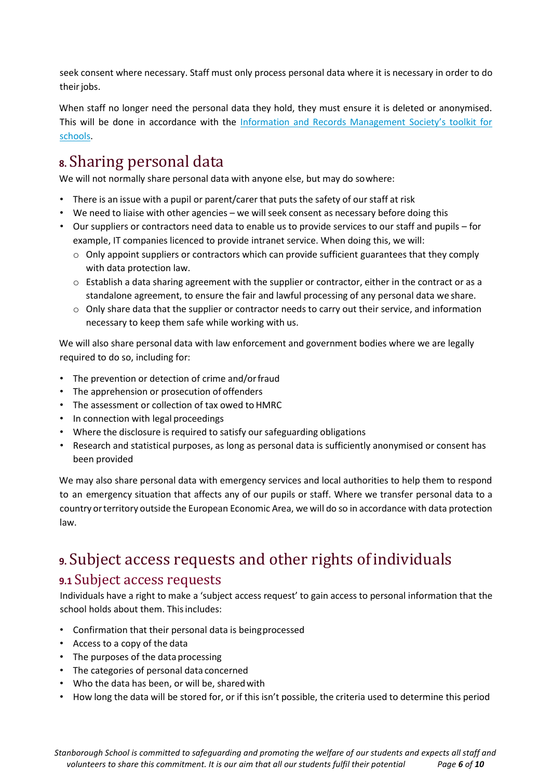seek consent where necessary. Staff must only process personal data where it is necessary in order to do their jobs.

When staff no longer need the personal data they hold, they must ensure it is deleted or anonymised. This will be done in accordance with the [Information and Records Manage](http://irms.org.uk/?page=schoolstoolkit&terms=%22toolkit%2Band%2Bschools%22)[ment Society's toolkit for](http://irms.org.uk/?page=schoolstoolkit&terms=%22toolkit%2Band%2Bschools%22) [schools.](http://irms.org.uk/?page=schoolstoolkit&terms=%22toolkit%2Band%2Bschools%22)

## <span id="page-5-0"></span>**8.** Sharing personal data

We will not normally share personal data with anyone else, but may do sowhere:

- There is an issue with a pupil or parent/carer that puts the safety of our staff at risk
- We need to liaise with other agencies we will seek consent as necessary before doing this
- Our suppliers or contractors need data to enable us to provide services to our staff and pupils for example, IT companies licenced to provide intranet service. When doing this, we will:
	- $\circ$  Only appoint suppliers or contractors which can provide sufficient guarantees that they comply with data protection law.
	- $\circ$  Establish a data sharing agreement with the supplier or contractor, either in the contract or as a standalone agreement, to ensure the fair and lawful processing of any personal data we share.
	- $\circ$  Only share data that the supplier or contractor needs to carry out their service, and information necessary to keep them safe while working with us.

We will also share personal data with law enforcement and government bodies where we are legally required to do so, including for:

- The prevention or detection of crime and/orfraud
- The apprehension or prosecution of offenders
- The assessment or collection of tax owed to HMRC
- In connection with legal proceedings
- Where the disclosure is required to satisfy our safeguarding obligations
- Research and statistical purposes, as long as personal data is sufficiently anonymised or consent has been provided

We may also share personal data with emergency services and local authorities to help them to respond to an emergency situation that affects any of our pupils or staff. Where we transfer personal data to a country orterritory outside the European Economic Area, we will do so in accordance with data protection law.

## <span id="page-5-1"></span>**9.** Subject access requests and other rights ofindividuals **9.1** Subject access requests

<span id="page-5-2"></span>Individuals have a right to make a 'subject access request' to gain access to personal information that the school holds about them. Thisincludes:

- Confirmation that their personal data is beingprocessed
- Access to a copy of the data
- The purposes of the data processing
- The categories of personal data concerned
- Who the data has been, or will be, sharedwith
- How long the data will be stored for, or if this isn't possible, the criteria used to determine this period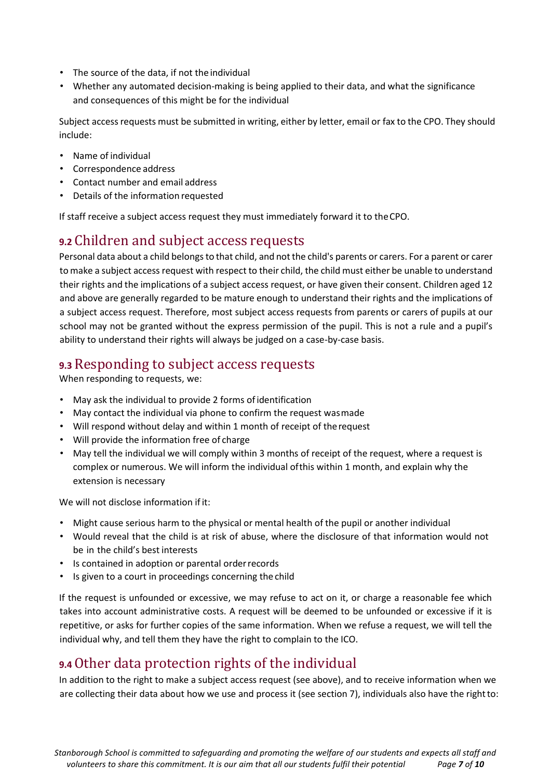- The source of the data, if not the individual
- Whether any automated decision-making is being applied to their data, and what the significance and consequences of this might be for the individual

Subject access requests must be submitted in writing, either by letter, email or fax to the CPO. They should include:

- Name of individual
- Correspondence address
- Contact number and email address
- Details of the information requested

If staff receive a subject access request they must immediately forward it to theCPO.

#### <span id="page-6-0"></span>**9.2** Children and subject access requests

Personal data about a child belongs to that child, and not the child's parents or carers. For a parent or carer tomake a subject access request with respect to their child, the child must either be unable to understand their rights and the implications of a subject access request, or have given their consent. Children aged 12 and above are generally regarded to be mature enough to understand their rights and the implications of a subject access request. Therefore, most subject access requests from parents or carers of pupils at our school may not be granted without the express permission of the pupil. This is not a rule and a pupil's ability to understand their rights will always be judged on a case-by-case basis.

#### <span id="page-6-1"></span>**9.3** Responding to subject access requests

When responding to requests, we:

- May ask the individual to provide 2 forms of identification
- May contact the individual via phone to confirm the request wasmade
- Will respond without delay and within 1 month of receipt of therequest
- Will provide the information free of charge
- May tell the individual we will comply within 3 months of receipt of the request, where a request is complex or numerous. We will inform the individual ofthis within 1 month, and explain why the extension is necessary

We will not disclose information if it:

- Might cause serious harm to the physical or mental health of the pupil or another individual
- Would reveal that the child is at risk of abuse, where the disclosure of that information would not be in the child's best interests
- Is contained in adoption or parental orderrecords
- Is given to a court in proceedings concerning the child

If the request is unfounded or excessive, we may refuse to act on it, or charge a reasonable fee which takes into account administrative costs. A request will be deemed to be unfounded or excessive if it is repetitive, or asks for further copies of the same information. When we refuse a request, we will tell the individual why, and tell them they have the right to complain to the ICO.

#### <span id="page-6-2"></span>**9.4**Other data protection rights of the individual

In addition to the right to make a subject access request (see above), and to receive information when we are collecting their data about how we use and process it (see section 7), individuals also have the rightto: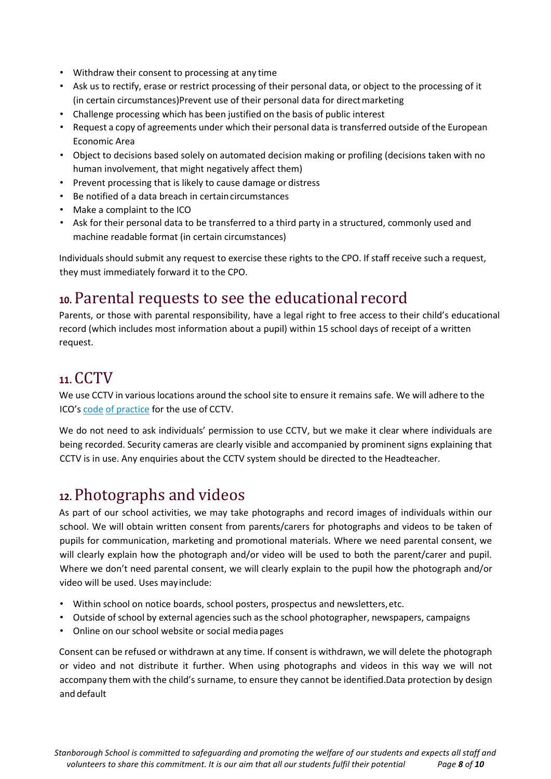- Withdraw their consent to processing at any time
- Ask us to rectify, erase or restrict processing of their personal data, or object to the processing of it (in certain circumstances)Prevent use of their personal data for directmarketing
- Challenge processing which has been justified on the basis of public interest
- Request a copy of agreements under which their personal data istransferred outside of the European Economic Area
- Object to decisions based solely on automated decision making or profiling (decisions taken with no human involvement, that might negatively affect them)
- Prevent processing that is likely to cause damage or distress
- Be notified of a data breach in certaincircumstances
- Make a complaint to the ICO
- Ask for their personal data to be transferred to a third party in a structured, commonly used and machine readable format (in certain circumstances)

Individuals should submit any request to exercise these rights to the CPO. If staff receive such a request, they must immediately forward it to the CPO.

## <span id="page-7-0"></span>**10.** Parental requests to see the educational record

Parents, or those with parental responsibility, have a legal right to free access to their child's educational record (which includes most information about a pupil) within 15 school days of receipt of a written request.

## <span id="page-7-1"></span>**11.** CCTV

We use CCTV in various locations around the school site to ensure it remains safe. We will adhere to the ICO's [code](https://ico.org.uk/media/for-organisations/documents/1542/cctv-code-of-practice.pdf) [of practice](https://ico.org.uk/media/for-organisations/documents/1542/cctv-code-of-practice.pdf) for the use of CCTV.

We do not need to ask individuals' permission to use CCTV, but we make it clear where individuals are being recorded. Security cameras are clearly visible and accompanied by prominent signs explaining that CCTV is in use. Any enquiries about the CCTV system should be directed to the Headteacher.

## <span id="page-7-2"></span>**12.** Photographs and videos

As part of our school activities, we may take photographs and record images of individuals within our school. We will obtain written consent from parents/carers for photographs and videos to be taken of pupils for communication, marketing and promotional materials. Where we need parental consent, we will clearly explain how the photograph and/or video will be used to both the parent/carer and pupil. Where we don't need parental consent, we will clearly explain to the pupil how the photograph and/or video will be used. Uses mayinclude:

- Within school on notice boards, school posters, prospectus and newsletters,etc.
- Outside of school by external agencies such as the school photographer, newspapers, campaigns
- Online on our school website or social mediapages

Consent can be refused or withdrawn at any time. If consent is withdrawn, we will delete the photograph or video and not distribute it further. When using photographs and videos in this way we will not accompany them with the child's surname, to ensure they cannot be identified.Data protection by design and default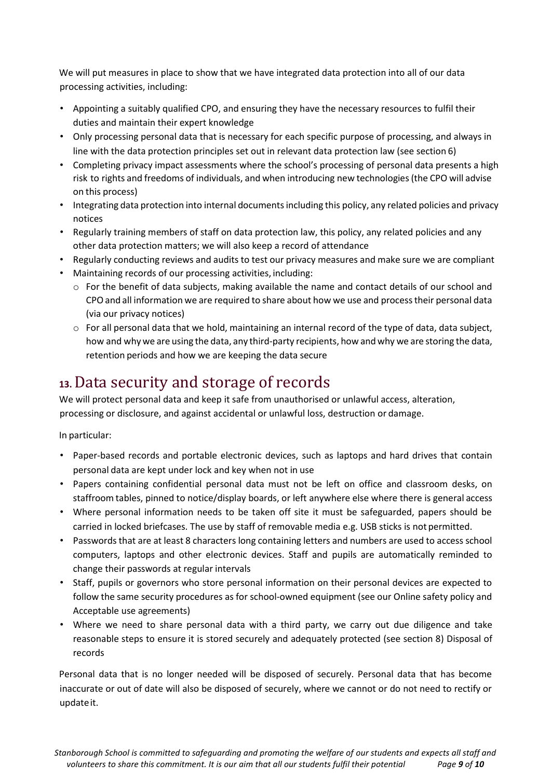We will put measures in place to show that we have integrated data protection into all of our data processing activities, including:

- Appointing a suitably qualified CPO, and ensuring they have the necessary resources to fulfil their duties and maintain their expert knowledge
- Only processing personal data that is necessary for each specific purpose of processing, and always in line with the data protection principles set out in relevant data protection law (see section 6)
- Completing privacy impact assessments where the school's processing of personal data presents a high risk to rights and freedoms of individuals, and when introducing new technologies(the CPO will advise on this process)
- Integrating data protection into internal documentsincluding this policy, any related policies and privacy notices
- Regularly training members of staff on data protection law, this policy, any related policies and any other data protection matters; we will also keep a record of attendance
- Regularly conducting reviews and audits to test our privacy measures and make sure we are compliant
- Maintaining records of our processing activities, including:
	- $\circ$  For the benefit of data subjects, making available the name and contact details of our school and CPOand all information we are required to share about how we use and process their personal data (via our privacy notices)
	- $\circ$  For all personal data that we hold, maintaining an internal record of the type of data, data subject, how and why we are using the data, any third-party recipients, how and why we are storing the data, retention periods and how we are keeping the data secure

## <span id="page-8-0"></span>**13.**Data security and storage of records

We will protect personal data and keep it safe from unauthorised or unlawful access, alteration, processing or disclosure, and against accidental or unlawful loss, destruction or damage.

#### In particular:

- Paper-based records and portable electronic devices, such as laptops and hard drives that contain personal data are kept under lock and key when not in use
- Papers containing confidential personal data must not be left on office and classroom desks, on staffroom tables, pinned to notice/display boards, or left anywhere else where there is general access
- Where personal information needs to be taken off site it must be safeguarded, papers should be carried in locked briefcases. The use by staff of removable media e.g. USB sticks is not permitted.
- Passwords that are at least 8 characters long containing letters and numbers are used to access school computers, laptops and other electronic devices. Staff and pupils are automatically reminded to change their passwords at regular intervals
- Staff, pupils or governors who store personal information on their personal devices are expected to follow the same security procedures as for school-owned equipment (see our Online safety policy and Acceptable use agreements)
- Where we need to share personal data with a third party, we carry out due diligence and take reasonable steps to ensure it is stored securely and adequately protected (see section 8) Disposal of records

Personal data that is no longer needed will be disposed of securely. Personal data that has become inaccurate or out of date will also be disposed of securely, where we cannot or do not need to rectify or updateit.